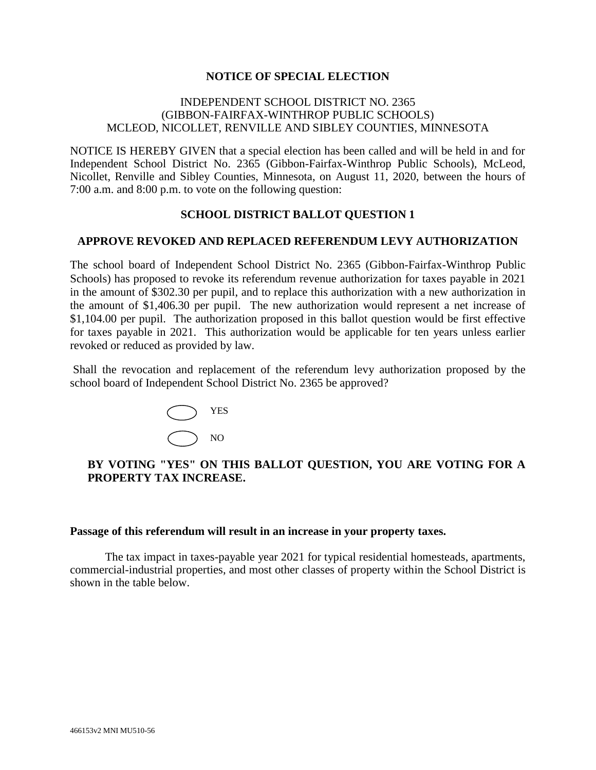### **NOTICE OF SPECIAL ELECTION**

### INDEPENDENT SCHOOL DISTRICT NO. 2365 (GIBBON-FAIRFAX-WINTHROP PUBLIC SCHOOLS) MCLEOD, NICOLLET, RENVILLE AND SIBLEY COUNTIES, MINNESOTA

NOTICE IS HEREBY GIVEN that a special election has been called and will be held in and for Independent School District No. 2365 (Gibbon-Fairfax-Winthrop Public Schools), McLeod, Nicollet, Renville and Sibley Counties, Minnesota, on August 11, 2020, between the hours of 7:00 a.m. and 8:00 p.m. to vote on the following question:

## **SCHOOL DISTRICT BALLOT QUESTION 1**

## **APPROVE REVOKED AND REPLACED REFERENDUM LEVY AUTHORIZATION**

The school board of Independent School District No. 2365 (Gibbon-Fairfax-Winthrop Public Schools) has proposed to revoke its referendum revenue authorization for taxes payable in 2021 in the amount of \$302.30 per pupil, and to replace this authorization with a new authorization in the amount of \$1,406.30 per pupil. The new authorization would represent a net increase of \$1,104.00 per pupil. The authorization proposed in this ballot question would be first effective for taxes payable in 2021. This authorization would be applicable for ten years unless earlier revoked or reduced as provided by law.

Shall the revocation and replacement of the referendum levy authorization proposed by the school board of Independent School District No. 2365 be approved?



## **BY VOTING "YES" ON THIS BALLOT QUESTION, YOU ARE VOTING FOR A PROPERTY TAX INCREASE.**

#### **Passage of this referendum will result in an increase in your property taxes.**

The tax impact in taxes-payable year 2021 for typical residential homesteads, apartments, commercial-industrial properties, and most other classes of property within the School District is shown in the table below.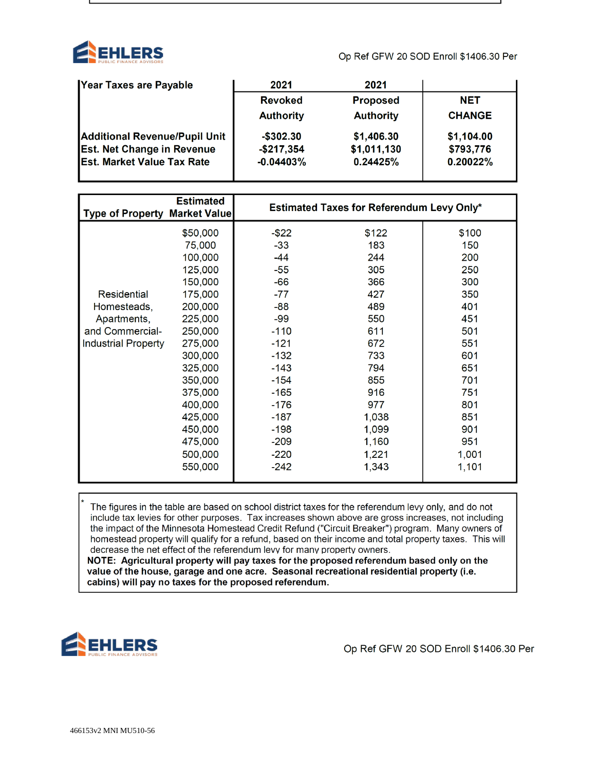

Op Ref GFW 20 SOD Enroll \$1406.30 Per

| Year Taxes are Payable               | 2021             | 2021             |               |
|--------------------------------------|------------------|------------------|---------------|
|                                      | <b>Revoked</b>   | <b>Proposed</b>  | <b>NET</b>    |
|                                      | <b>Authority</b> | <b>Authority</b> | <b>CHANGE</b> |
| <b>Additional Revenue/Pupil Unit</b> | $-$ \$302.30     | \$1,406.30       | \$1,104.00    |
| <b>Est. Net Change in Revenue</b>    | $-$217,354$      | \$1,011,130      | \$793,776     |
| <b>Est. Market Value Tax Rate</b>    | $-0.04403%$      | 0.24425%         | 0.20022%      |
|                                      |                  |                  |               |

| <b>Type of Property Market Value</b> | <b>Estimated</b> |          | <b>Estimated Taxes for Referendum Levy Only*</b> |       |  |  |  |
|--------------------------------------|------------------|----------|--------------------------------------------------|-------|--|--|--|
|                                      | \$50,000         | $-$ \$22 | \$122                                            | \$100 |  |  |  |
|                                      | 75,000           | $-33$    | 183                                              | 150   |  |  |  |
|                                      | 100,000          | $-44$    | 244                                              | 200   |  |  |  |
|                                      | 125,000          | $-55$    | 305                                              | 250   |  |  |  |
|                                      | 150,000          | $-66$    | 366                                              | 300   |  |  |  |
| Residential                          | 175,000          | $-77$    | 427                                              | 350   |  |  |  |
| Homesteads,                          | 200,000          | -88      | 489                                              | 401   |  |  |  |
| Apartments,                          | 225,000          | $-99$    | 550                                              | 451   |  |  |  |
| and Commercial-                      | 250,000          | $-110$   | 611                                              | 501   |  |  |  |
| <b>Industrial Property</b>           | 275,000          | $-121$   | 672                                              | 551   |  |  |  |
|                                      | 300,000          | $-132$   | 733                                              | 601   |  |  |  |
|                                      | 325,000          | $-143$   | 794                                              | 651   |  |  |  |
|                                      | 350,000          | $-154$   | 855                                              | 701   |  |  |  |
|                                      | 375,000          | $-165$   | 916                                              | 751   |  |  |  |
|                                      | 400,000          | -176     | 977                                              | 801   |  |  |  |
|                                      | 425,000          | $-187$   | 1,038                                            | 851   |  |  |  |
|                                      | 450,000          | $-198$   | 1,099                                            | 901   |  |  |  |
|                                      | 475,000          | $-209$   | 1,160                                            | 951   |  |  |  |
|                                      | 500,000          | $-220$   | 1,221                                            | 1,001 |  |  |  |
|                                      | 550,000          | $-242$   | 1,343                                            | 1,101 |  |  |  |

The figures in the table are based on school district taxes for the referendum levy only, and do not include tax levies for other purposes. Tax increases shown above are gross increases, not including the impact of the Minnesota Homestead Credit Refund ("Circuit Breaker") program. Many owners of homestead property will qualify for a refund, based on their income and total property taxes. This will decrease the net effect of the referendum levy for many property owners.

NOTE: Agricultural property will pay taxes for the proposed referendum based only on the value of the house, garage and one acre. Seasonal recreational residential property (i.e. cabins) will pay no taxes for the proposed referendum.



Op Ref GFW 20 SOD Enroll \$1406.30 Per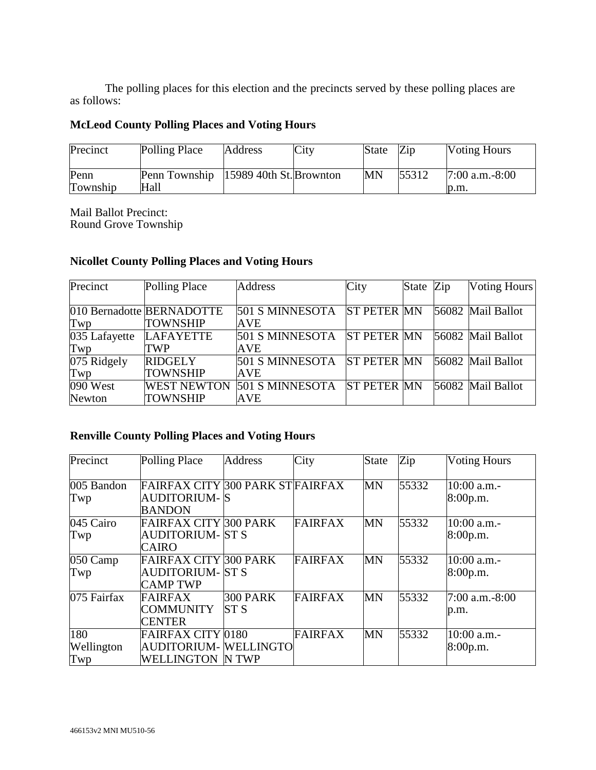The polling places for this election and the precincts served by these polling places are as follows:

# **McLeod County Polling Places and Voting Hours**

| Precinct         | Polling Place                                   | <b>Address</b> | City | <b>State</b> | Zip   | <b>Voting Hours</b>      |
|------------------|-------------------------------------------------|----------------|------|--------------|-------|--------------------------|
| Penn<br>Township | Penn Township   15989 40th St. Brownton<br>Hall |                |      | MN           | 55312 | $7:00$ a.m.-8:00<br>D.m. |

Mail Ballot Precinct: Round Grove Township

## **Nicollet County Polling Places and Voting Hours**

| Precinct      | Polling Place             | <b>Address</b>  | City               | State Zip | <b>Voting Hours</b> |
|---------------|---------------------------|-----------------|--------------------|-----------|---------------------|
|               |                           |                 |                    |           |                     |
|               | 010 Bernadotte BERNADOTTE | 501 S MINNESOTA | <b>ST PETER MN</b> |           | 56082 Mail Ballot   |
| Twp           | <b>TOWNSHIP</b>           | <b>AVE</b>      |                    |           |                     |
| 035 Lafayette | <b>LAFAYETTE</b>          | 501 S MINNESOTA | <b>ST PETER MN</b> |           | 56082 Mail Ballot   |
| Twp           | TWP                       | <b>AVE</b>      |                    |           |                     |
| 075 Ridgely   | <b>RIDGELY</b>            | 501 S MINNESOTA | <b>ST PETER MN</b> |           | 56082 Mail Ballot   |
| Twp           | <b>TOWNSHIP</b>           | <b>AVE</b>      |                    |           |                     |
| 090 West      | <b>WEST NEWTON</b>        | 501 S MINNESOTA | <b>ST PETER MN</b> |           | 56082 Mail Ballot   |
| Newton        | <b>TOWNSHIP</b>           | <b>AVE</b>      |                    |           |                     |

# **Renville County Polling Places and Voting Hours**

| Precinct                 | Polling Place                                                                 | <b>Address</b>          | City           | <b>State</b> | Zip   | <b>Voting Hours</b>     |
|--------------------------|-------------------------------------------------------------------------------|-------------------------|----------------|--------------|-------|-------------------------|
| 005 Bandon<br>Twp        | FAIRFAX CITY 300 PARK STFAIRFAX<br>AUDITORIUM- S<br><b>BANDON</b>             |                         |                | <b>MN</b>    | 55332 | 10:00 a.m.-<br>8:00p.m. |
| 045 Cairo<br>Twp         | FAIRFAX CITY 300 PARK<br><b>AUDITORIUM- ST S</b><br>CAIRO                     |                         | <b>FAIRFAX</b> | <b>MN</b>    | 55332 | 10:00 a.m.-<br>8:00p.m. |
| 050 Camp<br>Twp          | FAIRFAX CITY 300 PARK<br>AUDITORIUM-  ST S<br><b>CAMP TWP</b>                 |                         | <b>FAIRFAX</b> | <b>MN</b>    | 55332 | 10:00 a.m.-<br>8:00p.m. |
| 075 Fairfax              | <b>FAIRFAX</b><br><b>COMMUNITY</b><br><b>CENTER</b>                           | 300 PARK<br><b>ST S</b> | <b>FAIRFAX</b> | MN           | 55332 | 7:00 a.m.-8:00<br>p.m.  |
| 180<br>Wellington<br>Twp | <b>FAIRFAX CITY 0180</b><br>AUDITORIUM- WELLINGTO<br><b>WELLINGTON IN TWP</b> |                         | <b>FAIRFAX</b> | <b>MN</b>    | 55332 | 10:00 a.m.-<br>8:00p.m. |